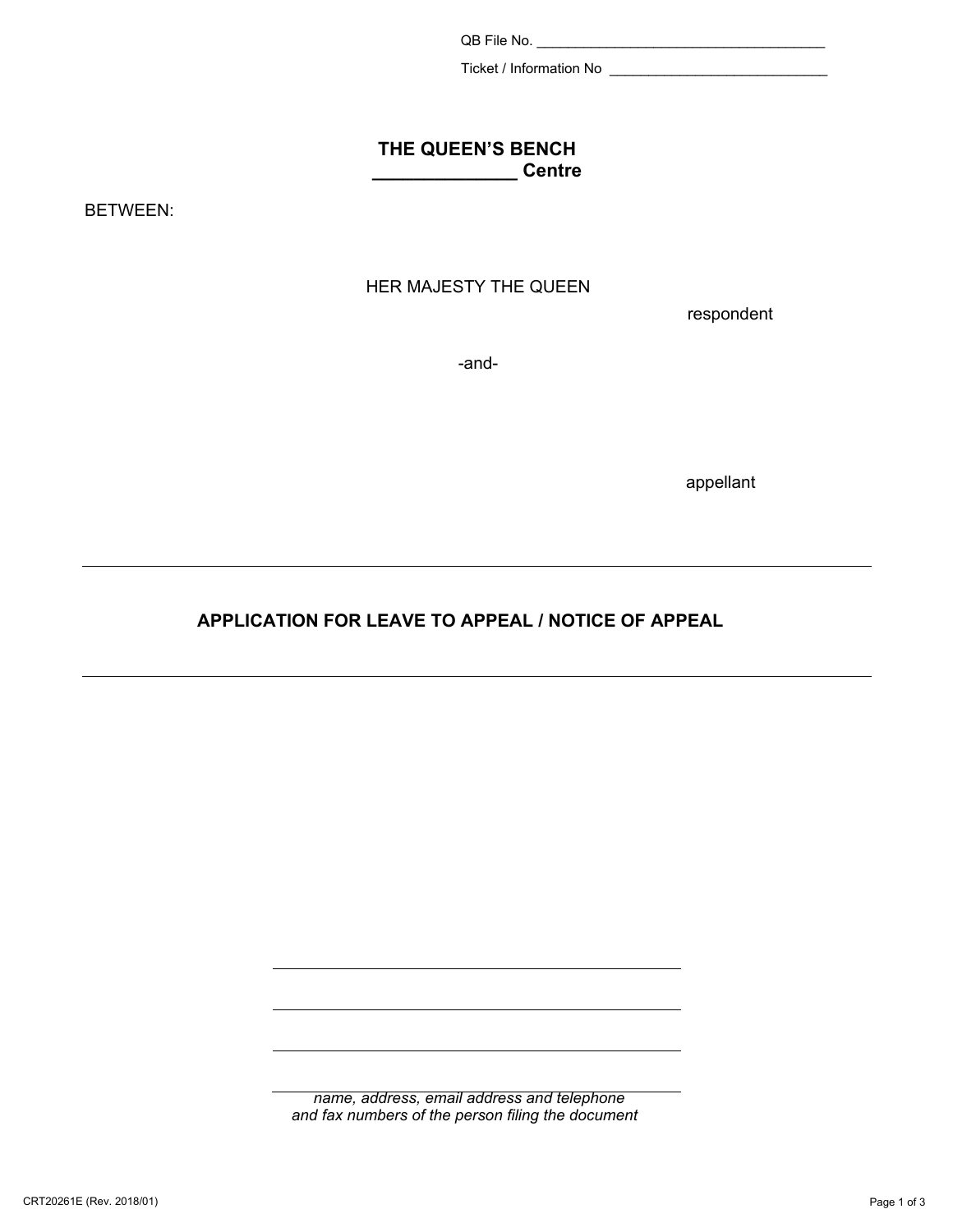QB File No. \_\_\_\_\_\_\_\_\_\_\_\_\_\_\_\_\_\_\_\_\_\_\_\_\_\_\_\_\_\_\_\_\_\_\_\_\_

Ticket / Information No \_\_\_\_\_\_\_\_\_\_\_\_\_\_\_\_\_\_\_\_\_\_\_\_\_\_\_\_

#### **THE QUEEN'S BENCH Little Science Centre**

BETWEEN:

## HER MAJESTY THE QUEEN

respondent

-and-

appellant

## **APPLICATION FOR LEAVE TO APPEAL / NOTICE OF APPEAL**

*name, address, email address and telephone and fax numbers of the person filing the document*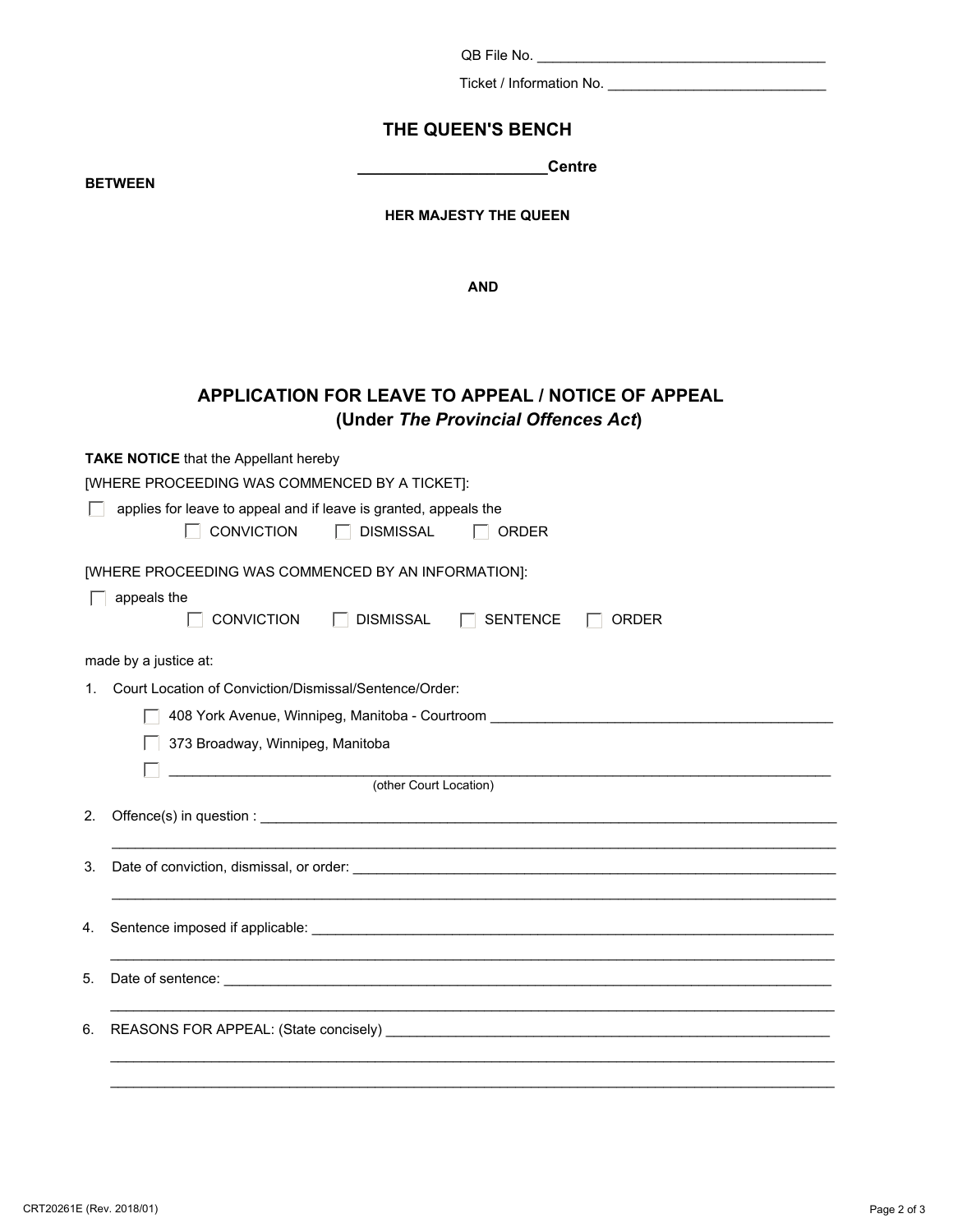QB File No. \_\_\_\_\_\_\_\_\_\_\_\_\_\_\_\_\_\_\_\_\_\_\_\_\_\_\_\_\_\_\_\_\_\_\_\_\_

Ticket / Information No. \_\_\_\_\_\_\_\_\_\_\_\_\_\_\_\_\_\_\_\_\_\_\_\_\_\_\_\_

### **THE QUEEN'S BENCH**

**BETWEEN** 

**\_\_\_\_\_\_\_\_\_\_\_\_\_\_\_\_\_\_\_\_\_\_Centre**

#### **HER MAJESTY THE QUEEN**

**AND** 

## **APPLICATION FOR LEAVE TO APPEAL / NOTICE OF APPEAL (Under** *The Provincial Offences Act***)**

**TAKE NOTICE** that the Appellant hereby

| [WHERE PROCEEDING WAS COMMENCED BY A TICKET]: |  |  |
|-----------------------------------------------|--|--|
|                                               |  |  |

| applies for leave to appeal and if leave is granted, appeals the |             |              |
|------------------------------------------------------------------|-------------|--------------|
| <b>CONVICTION</b>                                                | ∣ DISMISSAL | $\Box$ ORDER |

[WHERE PROCEEDING WAS COMMENCED BY AN INFORMATION]:

|  |  | appeals the |
|--|--|-------------|
|--|--|-------------|

| <b>CONVICTION</b> | <b>DISMISSAL</b> | SENTENCE | T ORDER |
|-------------------|------------------|----------|---------|
|                   |                  |          |         |

made by a justice at:

1. Court Location of Conviction/Dismissal/Sentence/Order:

408 York Avenue, Winnipeg, Manitoba - Courtroom \_\_\_\_\_\_\_\_\_\_\_\_\_\_\_\_\_\_\_\_\_\_\_\_\_\_\_\_\_\_\_\_\_\_\_\_\_\_\_\_\_\_\_\_

373 Broadway, Winnipeg, Manitoba

\_\_\_\_\_\_\_\_\_\_\_\_\_\_\_\_\_\_\_\_\_\_\_\_\_\_\_\_\_\_\_\_\_\_\_\_\_\_\_\_\_\_\_\_\_\_\_\_\_\_\_\_\_\_\_\_\_\_\_\_\_\_\_\_\_\_\_\_\_\_\_\_\_\_\_\_\_\_\_\_\_\_\_\_\_ (other Court Location)

# 2. Offence(s) in question : \_\_\_\_\_\_\_\_\_\_\_\_\_\_\_\_\_\_\_\_\_\_\_\_\_\_\_\_\_\_\_\_\_\_\_\_\_\_\_\_\_\_\_\_\_\_\_\_\_\_\_\_\_\_\_\_\_\_\_\_\_\_\_\_\_\_\_\_\_\_\_\_\_\_ 3. Date of conviction, dismissal, or order: \_\_\_\_\_\_\_\_\_\_\_\_\_\_\_\_\_\_\_\_\_\_\_\_\_\_\_\_\_\_\_\_\_\_\_\_\_\_\_\_\_\_\_\_\_\_\_\_\_\_\_\_\_\_\_\_\_\_\_\_\_\_

| 5. |  |
|----|--|
|    |  |
|    |  |
|    |  |

 $\_$  . The contribution of the contribution of the contribution of the contribution of the contribution of the contribution of the contribution of the contribution of the contribution of the contribution of the contributio

 $\blacktriangledown$ 

 $\overline{\phantom{a}}$